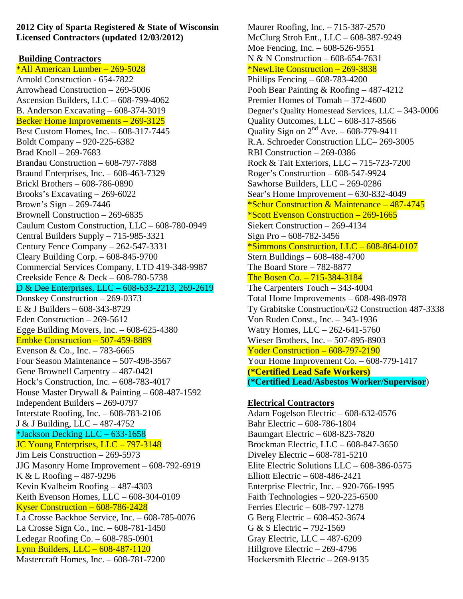**2012 City of Sparta Registered & State of Wisconsin Licensed Contractors (updated 12/03/2012)** 

### **Building Contractors**

\*All American Lumber – 269-5028 Arnold Construction - 654-7822 Arrowhead Construction – 269-5006 Ascension Builders, LLC – 608-799-4062 B. Anderson Excavating – 608-374-3019 Becker Home Improvements – 269-3125 Best Custom Homes, Inc. – 608-317-7445 Boldt Company – 920-225-6382 Brad Knoll – 269-7683 Brandau Construction – 608-797-7888 Braund Enterprises, Inc. – 608-463-7329 Brickl Brothers – 608-786-0890 Brooks's Excavating – 269-6022 Brown's Sign – 269-7446 Brownell Construction – 269-6835 Caulum Custom Construction, LLC – 608-780-0949 Central Builders Supply – 715-985-3321 Century Fence Company – 262-547-3331 Cleary Building Corp. – 608-845-9700 Commercial Services Company, LTD 419-348-9987 Creekside Fence & Deck – 608-780-5738 D & Dee Enterprises, LLC – 608-633-2213, 269-2619 Donskey Construction – 269-0373 E & J Builders – 608-343-8729 Eden Construction – 269-5612 Egge Building Movers, Inc. – 608-625-4380 Embke Construction – 507-459-8889 Evenson & Co., Inc. – 783-6665 Four Season Maintenance – 507-498-3567 Gene Brownell Carpentry – 487-0421 Hock's Construction, Inc. – 608-783-4017 House Master Drywall & Painting – 608-487-1592 Independent Builders – 269-0797 Interstate Roofing, Inc. – 608-783-2106 J & J Building, LLC – 487-4752 \*Jackson Decking LLC – 633-1658 JC Young Enterprises, LLC - 797-3148 Jim Leis Construction – 269-5973 JJG Masonry Home Improvement – 608-792-6919 K & L Roofing – 487-9296 Kevin Kvalheim Roofing – 487-4303 Keith Evenson Homes, LLC – 608-304-0109 Kyser Construction – 608-786-2428 La Crosse Backhoe Service, Inc. – 608-785-0076 La Crosse Sign Co., Inc. – 608-781-1450 Ledegar Roofing Co. – 608-785-0901 Lynn Builders, LLC – 608-487-1120 Mastercraft Homes, Inc. – 608-781-7200

Maurer Roofing, Inc. – 715-387-2570 McClurg Stroh Ent., LLC – 608-387-9249 Moe Fencing, Inc. – 608-526-9551 N & N Construction – 608-654-7631 \*NewLite Construction – 269-3838 Phillips Fencing – 608-783-4200 Pooh Bear Painting & Roofing – 487-4212 Premier Homes of Tomah – 372-4600 Degner's Quality Homestead Services, LLC – 343-0006 Quality Outcomes, LLC – 608-317-8566 Quality Sign on  $2<sup>nd</sup>$  Ave. – 608-779-9411 R.A. Schroeder Construction LLC– 269-3005 RBI Construction – 269-0386 Rock & Tait Exteriors, LLC – 715-723-7200 Roger's Construction – 608-547-9924 Sawhorse Builders, LLC – 269-0286 Sear's Home Improvement – 630-832-4049 \*Schur Construction & Maintenance – 487-4745 \*Scott Evenson Construction – 269-1665 Siekert Construction – 269-4134 Sign Pro – 608-782-3456 \*Simmons Construction, LLC – 608-864-0107 Stern Buildings – 608-488-4700 The Board Store – 782-8877 The Bosen Co. – 715-384-3184 The Carpenters Touch – 343-4004 Total Home Improvements – 608-498-0978 Ty Grabitske Construction/G2 Construction 487-3338 Von Ruden Const., Inc. – 343-1936 Watry Homes, LLC – 262-641-5760 Wieser Brothers, Inc. – 507-895-8903 Yoder Construction – 608-797-2190 Your Home Improvement Co. – 608-779-1417 **(\*Certified Lead Safe Workers) (\*Certified Lead/Asbestos Worker/Supervisor**)

## **Electrical Contractors**

Adam Fogelson Electric – 608-632-0576 Bahr Electric – 608-786-1804 Baumgart Electric – 608-823-7820 Brockman Electric, LLC – 608-847-3650 Diveley Electric – 608-781-5210 Elite Electric Solutions LLC – 608-386-0575 Elliott Electric – 608-486-2421 Enterprise Electric, Inc. – 920-766-1995 Faith Technologies – 920-225-6500 Ferries Electric – 608-797-1278 G Berg Electric – 608-452-3674 G & S Electric – 792-1569 Gray Electric, LLC – 487-6209 Hillgrove Electric – 269-4796 Hockersmith Electric – 269-9135